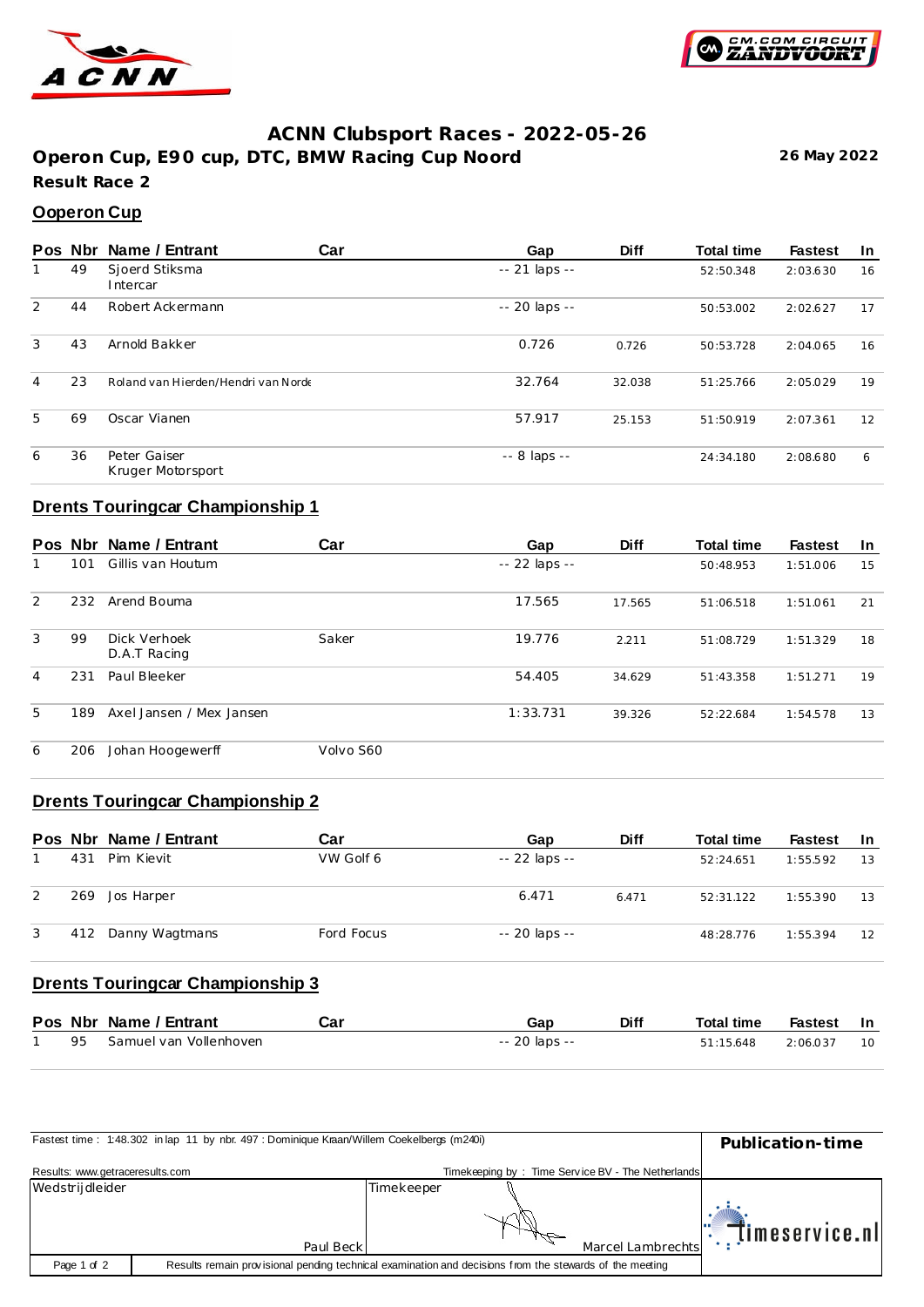



### **ACNN Clubsport Races - 2022-05-26**

**Operon Cup, E90 cup, DTC, BMW Racing Cup Noord 26 May 2022 Result Race 2**

### **Ooperon Cup**

|   | Pos Nbr | Name / Entrant                      | Car | Gap            | <b>Diff</b> | <b>Total time</b> | <b>Fastest</b> | <u>In</u> |
|---|---------|-------------------------------------|-----|----------------|-------------|-------------------|----------------|-----------|
|   | 49      | Sjoerd Stiksma<br>Intercar          |     | $-21$ laps $-$ |             | 52:50.348         | 2:03.630       | 16        |
| 2 | 44      | Robert Ackermann                    |     | -- 20 laps --  |             | 50:53.002         | 2:02.627       | 17        |
| 3 | 43      | Arnold Bakker                       |     | 0.726          | 0.726       | 50:53.728         | 2:04.065       | 16        |
| 4 | 23      | Roland van Hierden/Hendri van Norde |     | 32.764         | 32.038      | 51:25.766         | 2:05.029       | 19        |
| 5 | 69      | Oscar Vianen                        |     | 57.917         | 25.153      | 51:50.919         | 2:07.361       | 12        |
| 6 | 36      | Peter Gaiser<br>Kruger Motorsport   |     | -- 8 laps --   |             | 24:34.180         | 2:08.680       | 6         |

## **Drents Touringcar Championship 1**

|   |     | Pos Nbr Name / Entrant       | Car       | Gap           | <b>Diff</b> | <b>Total time</b> | <b>Fastest</b> | In |
|---|-----|------------------------------|-----------|---------------|-------------|-------------------|----------------|----|
|   | 101 | Gillis van Houtum            |           | -- 22 laps -- |             | 50:48.953         | 1:51.006       | 15 |
| 2 | 232 | Arend Bouma                  |           | 17.565        | 17.565      | 51:06.518         | 1:51.061       | 21 |
| 3 | 99  | Dick Verhoek<br>D.A.T Racing | Saker     | 19.776        | 2.211       | 51:08.729         | 1:51.329       | 18 |
| 4 | 231 | Paul Bleeker                 |           | 54.405        | 34.629      | 51:43.358         | 1:51.271       | 19 |
| 5 | 189 | Axel Jansen / Mex Jansen     |           | 1:33.731      | 39.326      | 52:22.684         | 1:54.578       | 13 |
| 6 | 206 | Johan Hoogewerff             | Volvo S60 |               |             |                   |                |    |

# **Drents Touringcar Championship 2**

|   |     | Pos Nbr Name / Entrant | Car        | Gap           | <b>Diff</b> | <b>Total time</b> | <b>Fastest</b> | -In |
|---|-----|------------------------|------------|---------------|-------------|-------------------|----------------|-----|
|   | 431 | Pim Kievit             | VW Golf 6  | -- 22 laps -- |             | 52:24.651         | 1:55.592       | 13  |
| 2 | 269 | Jos Harper             |            | 6.471         | 6.471       | 52:31.122         | 1:55.390       | 13  |
| 3 | 412 | Danny Wagtmans         | Ford Focus | -- 20 laps -- |             | 48:28.776         | 1:55.394       | 12  |

# **Drents Touringcar Championship 3**

|    | Pos Nbr Name / Entrant | Car | Gap           | <b>Diff</b> | Total time | Fastest  | ln.       |
|----|------------------------|-----|---------------|-------------|------------|----------|-----------|
| 95 | Samuel van Vollenhoven |     | -- 20 laps -- |             | 51:15.648  | 2:06.037 | <b>10</b> |

| Fastest time: 1:48.302 in lap 11 by nbr. 497 : Dominique Kraan/Willem Coekelbergs (m240i) | Publication-time |                                                                                                         |                   |
|-------------------------------------------------------------------------------------------|------------------|---------------------------------------------------------------------------------------------------------|-------------------|
| Results: www.getraceresults.com                                                           |                  | Timekeeping by: Time Service BV - The Netherlands                                                       |                   |
| Wedstrijdleider                                                                           |                  | Timekeeper                                                                                              | timeservice.nl    |
|                                                                                           | Paul Beck        |                                                                                                         | Marcel Lambrechts |
| Page 1 of 2                                                                               |                  | Results remain provisional pending technical examination and decisions from the stewards of the meeting |                   |